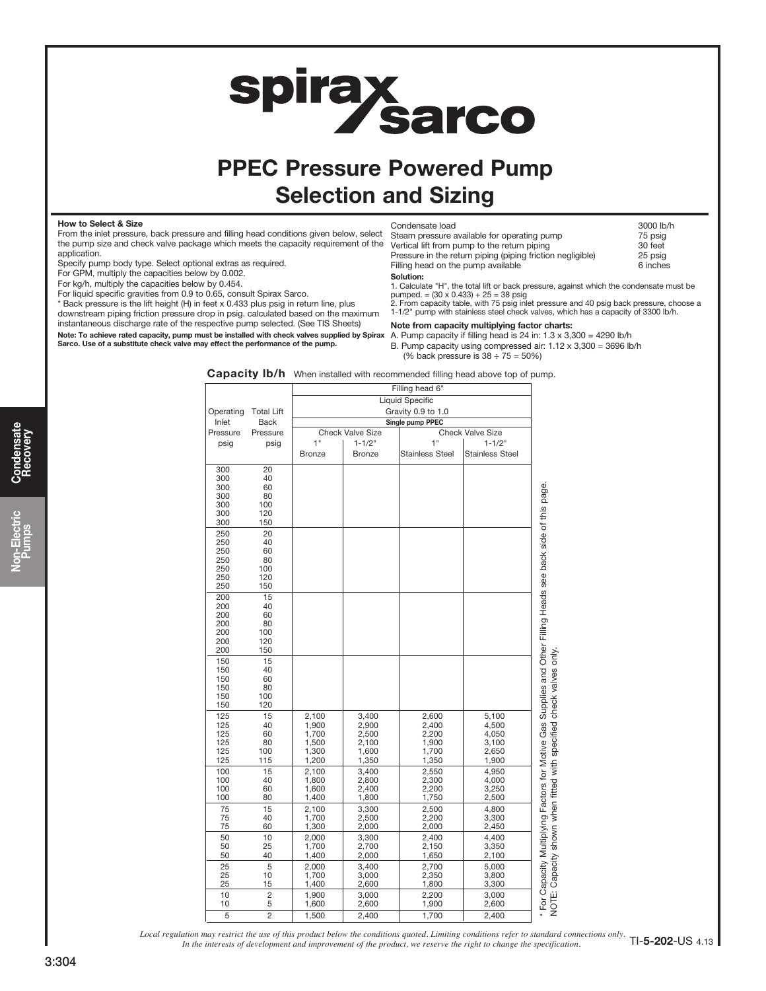# **spirax<br>Sarco**

# PPEC Pressure Powered Pump Selection and Sizing

#### How to Select & Size

From the inlet pressure, back pressure and filling head conditions given below, select the pump size and check valve package which meets the capacity requirement of the application.

Specify pump body type. Select optional extras as required.

For GPM, multiply the capacities below by 0.002.

For kg/h, multiply the capacities below by 0.454.

For liquid specific gravities from 0.9 to 0.65, consult Spirax Sarco.

\* Back pressure is the lift height (H) in feet x 0.433 plus psig in return line, plus downstream piping friction pressure drop in psig. calculated based on the maximum instantaneous discharge rate of the respective pump selected. (See TIS Sheets)

Note: To achieve rated capacity, pump must be installed with check valves supplied by Spirax \_A. Pump capacity if filling head is 24 in: 1.3 x 3,300 = 4290 lb/h<br>Sarco, Use of a substitute check valve may effect the perform

| Condensate load                                            | 3000 lb/h |
|------------------------------------------------------------|-----------|
| Steam pressure available for operating pump                | 75 psig   |
| Vertical lift from pump to the return piping               | 30 feet   |
| Pressure in the return piping (piping friction negligible) | 25 psig   |
| Filling head on the pump available                         | 6 inches  |
| Solution:                                                  |           |

1. Calculate "H", the total lift or back pressure, against which the condensate must be<br>pumped. = (30 x 0.433) + 25 = 38 psig<br>2. From capacity table, with 75 psig inlet pressure and 40 psig back pressure, choose a

1-1/2" pump with stainless steel check valves, which has a capacity of 3300 lb/h.

Note from capacity multiplying factor charts:

B. Pump capacity using compressed air: 1.12 x 3,300 = 3696 lb/h (% back pressure is  $38 \div 75 = 50\%$ )

| Capacity Ib/h When installed with recommended filling head above top of pump. |  |  |  |  |  |
|-------------------------------------------------------------------------------|--|--|--|--|--|
|-------------------------------------------------------------------------------|--|--|--|--|--|

|                   |                         |                                                                        |                | Filling head 6"        |                        |
|-------------------|-------------------------|------------------------------------------------------------------------|----------------|------------------------|------------------------|
|                   |                         |                                                                        |                | <b>Liquid Specific</b> |                        |
| Operating         | <b>Total Lift</b>       | Gravity 0.9 to 1.0                                                     |                |                        |                        |
| Inlet<br>Pressure | <b>Back</b><br>Pressure | Single pump PPEC<br><b>Check Valve Size</b><br><b>Check Valve Size</b> |                |                        |                        |
| psig              | psig                    | 1"                                                                     | $1 - 1/2"$     | 1"                     | $1 - 1/2"$             |
|                   |                         | <b>Bronze</b>                                                          | <b>Bronze</b>  | <b>Stainless Steel</b> | <b>Stainless Steel</b> |
|                   |                         |                                                                        |                |                        |                        |
| 300<br>300        | 20<br>40                |                                                                        |                |                        |                        |
| 300               | 60                      |                                                                        |                |                        |                        |
| 300               | 80                      |                                                                        |                |                        |                        |
| 300               | 100                     |                                                                        |                |                        |                        |
| 300<br>300        | 120<br>150              |                                                                        |                |                        |                        |
| 250               | 20                      |                                                                        |                |                        |                        |
| 250               | 40                      |                                                                        |                |                        |                        |
| 250               | 60                      |                                                                        |                |                        |                        |
| 250<br>250        | 80<br>100               |                                                                        |                |                        |                        |
| 250               | 120                     |                                                                        |                |                        |                        |
| 250               | 150                     |                                                                        |                |                        |                        |
| 200<br>200        | 15<br>40                |                                                                        |                |                        |                        |
| 200               | 60                      |                                                                        |                |                        |                        |
| 200               | 80                      |                                                                        |                |                        |                        |
| 200               | 100                     |                                                                        |                |                        |                        |
| 200<br>200        | 120<br>150              |                                                                        |                |                        |                        |
| 150               | 15                      |                                                                        |                |                        |                        |
| 150               | 40                      |                                                                        |                |                        |                        |
| 150               | 60                      |                                                                        |                |                        |                        |
| 150<br>150        | 80<br>100               |                                                                        |                |                        |                        |
| 150               | 120                     |                                                                        |                |                        |                        |
| 125               | 15                      | 2,100                                                                  | 3,400          | 2,600                  | 5,100                  |
| 125<br>125        | 40<br>60                | 1,900<br>1,700                                                         | 2,900<br>2,500 | 2,400<br>2,200         | 4,500<br>4,050         |
| 125               | 80                      | 1,500                                                                  | 2,100          | 1,900                  | 3,100                  |
| 125               | 100                     | 1,300                                                                  | 1,600          | 1,700                  | 2,650                  |
| 125               | 115                     | 1,200                                                                  | 1,350          | 1,350                  | 1,900                  |
| 100<br>100        | 15<br>40                | 2,100<br>1,800                                                         | 3,400<br>2,800 | 2,550<br>2,300         | 4,950<br>4,000         |
| 100               | 60                      | 1,600                                                                  | 2,400          | 2,200                  | 3,250                  |
| 100               | 80                      | 1,400                                                                  | 1,800          | 1,750                  | 2,500                  |
| 75                | 15                      | 2,100                                                                  | 3,300          | 2,500                  | 4,800                  |
| 75<br>75          | 40<br>60                | 1,700<br>1,300                                                         | 2,500<br>2,000 | 2,200<br>2,000         | 3,300<br>2,450         |
| 50                | 10                      | 2,000                                                                  | 3,300          | 2,400                  | 4,400                  |
| 50                | 25                      | 1,700                                                                  | 2,700          | 2,150                  | 3,350                  |
| 50                | 40                      | 1,400                                                                  | 2,000          | 1,650                  | 2,100                  |
| 25<br>25          | 5<br>10                 | 2,000<br>1,700                                                         | 3,400<br>3,000 | 2,700<br>2,350         | 5,000<br>3,800         |
| 25                | 15                      | 1,400                                                                  | 2,600          | 1,800                  | 3,300                  |
| 10                | $\overline{c}$          | 1,900                                                                  | 3,000          | 2,200                  | 3,000                  |
| 10                | 5                       | 1,600                                                                  | 2,600          | 1,900                  | 2,600                  |
| 5                 | $\overline{c}$          | 1,500                                                                  | 2,400          | 1,700                  | 2,400                  |

*In the interests of development and improvement of the product, we reserve the right to change the specification. Local regulation may restrict the use of this product below the conditions quoted. Limiting conditions refer to standard connections only.* TI-5-202-US 4.13

Pumps